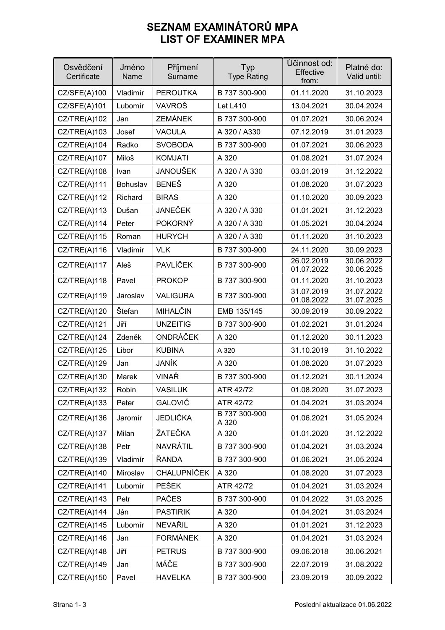## SEZNAM EXAMINÁTORŮ MPA LIST OF EXAMINER MPA

| Osvědčení<br>Certificate | Jméno<br>Name | Příjmení<br>Surname | Typ<br><b>Type Rating</b> | Účinnost od:<br>Effective<br>from: | Platné do:<br>Valid until: |
|--------------------------|---------------|---------------------|---------------------------|------------------------------------|----------------------------|
| CZ/SFE(A)100             | Vladimír      | <b>PEROUTKA</b>     | B 737 300-900             | 01.11.2020                         | 31.10.2023                 |
| CZ/SFE(A)101             | Lubomír       | VAVROŠ              | <b>Let L410</b>           | 13.04.2021                         | 30.04.2024                 |
| CZ/TRE(A)102             | Jan           | <b>ZEMÁNEK</b>      | B 737 300-900             | 01.07.2021                         | 30.06.2024                 |
| CZ/TRE(A)103             | Josef         | <b>VACULA</b>       | A 320 / A330              | 07.12.2019                         | 31.01.2023                 |
| CZ/TRE(A)104             | Radko         | <b>SVOBODA</b>      | B 737 300-900             | 01.07.2021                         | 30.06.2023                 |
| CZ/TRE(A)107             | Miloš         | <b>KOMJATI</b>      | A 320                     | 01.08.2021                         | 31.07.2024                 |
| CZ/TRE(A)108             | Ivan          | <b>JANOUŠEK</b>     | A 320 / A 330             | 03.01.2019                         | 31.12.2022                 |
| CZ/TRE(A)111             | Bohuslav      | <b>BENEŠ</b>        | A 320                     | 01.08.2020                         | 31.07.2023                 |
| CZ/TRE(A)112             | Richard       | <b>BIRAS</b>        | A 320                     | 01.10.2020                         | 30.09.2023                 |
| CZ/IRE(A)113             | Dušan         | <b>JANEČEK</b>      | A 320 / A 330             | 01.01.2021                         | 31.12.2023                 |
| CZ/IRE(A)114             | Peter         | <b>POKORNÝ</b>      | A 320 / A 330             | 01.05.2021                         | 30.04.2024                 |
| CZ/IRE(A)115             | Roman         | <b>HURYCH</b>       | A 320 / A 330             | 01.11.2020                         | 31.10.2023                 |
| CZ/TRE(A)116             | Vladimír      | <b>VLK</b>          | B 737 300-900             | 24.11.2020                         | 30.09.2023                 |
| CZ/TRE(A)117             | Aleš          | <b>PAVLÍČEK</b>     | B 737 300-900             | 26.02.2019<br>01.07.2022           | 30.06.2022<br>30.06.2025   |
| CZ/TRE(A)118             | Pavel         | <b>PROKOP</b>       | B 737 300-900             | 01.11.2020                         | 31.10.2023                 |
| CZ/TRE(A)119             | Jaroslav      | <b>VALIGURA</b>     | B 737 300-900             | 31.07.2019<br>01.08.2022           | 31.07.2022<br>31.07.2025   |
| CZ/IRE(A)120             | Štefan        | MIHALČIN            | EMB 135/145               | 30.09.2019                         | 30.09.2022                 |
| CZ/TRE(A)121             | Jiří          | <b>UNZEITIG</b>     | B 737 300-900             | 01.02.2021                         | 31.01.2024                 |
| CZ/TRE(A)124             | Zdeněk        | ONDRÁČEK            | A 320                     | 01.12.2020                         | 30.11.2023                 |
| CZ/TRE(A)125             | Libor         | <b>KUBINA</b>       | A 320                     | 31.10.2019                         | 31.10.2022                 |
| CZ/TRE(A)129             | Jan           | JANÍK               | A 320                     | 01.08.2020                         | 31.07.2023                 |
| CZ/TRE(A)130             | Marek         | VINAŘ               | B 737 300-900             | 01.12.2021                         | 30.11.2024                 |
| CZ/TRE(A)132             | Robin         | <b>VASILUK</b>      | ATR 42/72                 | 01.08.2020                         | 31.07.2023                 |
| CZ/TRE(A)133             | Peter         | GALOVIČ             | ATR 42/72                 | 01.04.2021                         | 31.03.2024                 |
| CZ/TRE(A)136             | Jaromír       | JEDLIČKA            | B 737 300-900<br>A 320    | 01.06.2021                         | 31.05.2024                 |
| CZ/TRE(A)137             | Milan         | ŽATEČKA             | A 320                     | 01.01.2020                         | 31.12.2022                 |
| CZ/TRE(A)138             | Petr          | NAVRÁTIL            | B 737 300-900             | 01.04.2021                         | 31.03.2024                 |
| CZ/TRE(A)139             | Vladimír      | ŘANDA               | B 737 300-900             | 01.06.2021                         | 31.05.2024                 |
| CZ/TRE(A)140             | Miroslav      | <b>CHALUPNÍČEK</b>  | A 320                     | 01.08.2020                         | 31.07.2023                 |
| CZ/TRE(A)141             | Lubomír       | <b>PEŠEK</b>        | ATR 42/72                 | 01.04.2021                         | 31.03.2024                 |
| CZ/TRE(A)143             | Petr          | <b>PAČES</b>        | B 737 300-900             | 01.04.2022                         | 31.03.2025                 |
| CZ/TRE(A)144             | Ján           | <b>PASTIRIK</b>     | A 320                     | 01.04.2021                         | 31.03.2024                 |
| CZ/TRE(A)145             | Lubomír       | NEVAŘIL             | A 320                     | 01.01.2021                         | 31.12.2023                 |
| CZ/TRE(A)146             | Jan           | <b>FORMÁNEK</b>     | A 320                     | 01.04.2021                         | 31.03.2024                 |
| CZ/TRE(A)148             | Jiří          | <b>PETRUS</b>       | B 737 300-900             | 09.06.2018                         | 30.06.2021                 |
| CZ/TRE(A)149             | Jan           | MÁČE                | B 737 300-900             | 22.07.2019                         | 31.08.2022                 |
| CZ/TRE(A)150             | Pavel         | <b>HAVELKA</b>      | B 737 300-900             | 23.09.2019                         | 30.09.2022                 |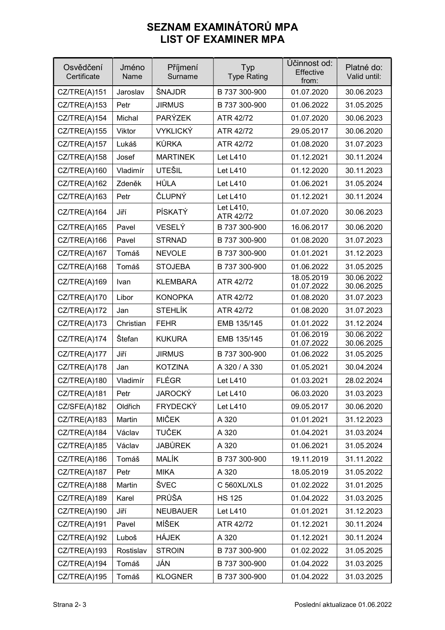## SEZNAM EXAMINÁTORŮ MPA LIST OF EXAMINER MPA

| Osvědčení<br>Certificate | Jméno<br>Name | Příjmení<br>Surname | Typ<br><b>Type Rating</b> | Účinnost od:<br>Effective<br>from: | Platné do:<br>Valid until: |
|--------------------------|---------------|---------------------|---------------------------|------------------------------------|----------------------------|
| CZ/TRE(A)151             | Jaroslav      | ŠNAJDR              | B 737 300-900             | 01.07.2020                         | 30.06.2023                 |
| CZ/TRE(A)153             | Petr          | <b>JIRMUS</b>       | B 737 300-900             | 01.06.2022                         | 31.05.2025                 |
| CZ/TRE(A)154             | Michal        | <b>PARÝZEK</b>      | ATR 42/72                 | 01.07.2020                         | 30.06.2023                 |
| CZ/TRE(A)155             | Viktor        | <b>VYKLICKÝ</b>     | ATR 42/72                 | 29.05.2017                         | 30.06.2020                 |
| CZ/TRE(A)157             | Lukáš         | <b>KŮRKA</b>        | ATR 42/72                 | 01.08.2020                         | 31.07.2023                 |
| CZ/TRE(A)158             | Josef         | <b>MARTINEK</b>     | <b>Let L410</b>           | 01.12.2021                         | 30.11.2024                 |
| CZ/TRE(A)160             | Vladimír      | <b>UTEŠIL</b>       | <b>Let L410</b>           | 01.12.2020                         | 30.11.2023                 |
| CZ/TRE(A)162             | Zdeněk        | HŮLA                | <b>Let L410</b>           | 01.06.2021                         | 31.05.2024                 |
| CZ/TRE(A)163             | Petr          | ČLUPNÝ              | <b>Let L410</b>           | 01.12.2021                         | 30.11.2024                 |
| CZ/TRE(A)164             | Jiří          | PÍSKATÝ             | Let L410,<br>ATR 42/72    | 01.07.2020                         | 30.06.2023                 |
| CZ/TRE(A)165             | Pavel         | VESELÝ              | B 737 300-900             | 16.06.2017                         | 30.06.2020                 |
| CZ/TRE(A)166             | Pavel         | <b>STRNAD</b>       | B 737 300-900             | 01.08.2020                         | 31.07.2023                 |
| CZ/TRE(A)167             | Tomáš         | <b>NEVOLE</b>       | B 737 300-900             | 01.01.2021                         | 31.12.2023                 |
| CZ/TRE(A)168             | Tomáš         | <b>STOJEBA</b>      | B 737 300-900             | 01.06.2022                         | 31.05.2025                 |
| CZ/TRE(A)169             | Ivan          | <b>KLEMBARA</b>     | ATR 42/72                 | 18.05.2019<br>01.07.2022           | 30.06.2022<br>30.06.2025   |
| CZ/TRE(A)170             | Libor         | <b>KONOPKA</b>      | ATR 42/72                 | 01.08.2020                         | 31.07.2023                 |
| CZ/TRE(A)172             | Jan           | <b>STEHLÍK</b>      | ATR 42/72                 | 01.08.2020                         | 31.07.2023                 |
| CZ/TRE(A)173             | Christian     | <b>FEHR</b>         | EMB 135/145               | 01.01.2022                         | 31.12.2024                 |
| CZ/TRE(A)174             | Štefan        | <b>KUKURA</b>       | EMB 135/145               | 01.06.2019<br>01.07.2022           | 30.06.2022<br>30.06.2025   |
| CZ/TRE(A)177             | Jiří          | <b>JIRMUS</b>       | B 737 300-900             | 01.06.2022                         | 31.05.2025                 |
| CZ/TRE(A)178             | Jan           | <b>KOTZINA</b>      | A 320 / A 330             | 01.05.2021                         | 30.04.2024                 |
| CZ/TRE(A)180             | Vladimír      | <b>FLÉGR</b>        | <b>Let L410</b>           | 01.03.2021                         | 28.02.2024                 |
| CZ/TRE(A)181             | Petr          | <b>JAROCKÝ</b>      | <b>Let L410</b>           | 06.03.2020                         | 31.03.2023                 |
| CZ/SFE(A)182             | Oldřich       | <b>FRYDECKÝ</b>     | <b>Let L410</b>           | 09.05.2017                         | 30.06.2020                 |
| CZ/TRE(A)183             | Martin        | <b>MIČEK</b>        | A 320                     | 01.01.2021                         | 31.12.2023                 |
| CZ/TRE(A)184             | Václav        | <b>TUČEK</b>        | A 320                     | 01.04.2021                         | 31.03.2024                 |
| CZ/TRE(A)185             | Václav        | <b>JABŮREK</b>      | A 320                     | 01.06.2021                         | 31.05.2024                 |
| CZ/TRE(A)186             | Tomáš         | <b>MALÍK</b>        | B 737 300-900             | 19.11.2019                         | 31.11.2022                 |
| CZ/TRE(A)187             | Petr          | <b>MIKA</b>         | A 320                     | 18.05.2019                         | 31.05.2022                 |
| CZ/TRE(A)188             | Martin        | ŠVEC                | C 560XL/XLS               | 01.02.2022                         | 31.01.2025                 |
| CZ/TRE(A)189             | Karel         | PRŮŠA               | <b>HS 125</b>             | 01.04.2022                         | 31.03.2025                 |
| CZ/TRE(A)190             | Jiří          | <b>NEUBAUER</b>     | <b>Let L410</b>           | 01.01.2021                         | 31.12.2023                 |
| CZ/TRE(A)191             | Pavel         | MÍŠEK               | ATR 42/72                 | 01.12.2021                         | 30.11.2024                 |
| CZ/TRE(A)192             | Luboš         | HÁJEK               | A 320                     | 01.12.2021                         | 30.11.2024                 |
| CZ/TRE(A)193             | Rostislav     | <b>STROIN</b>       | B 737 300-900             | 01.02.2022                         | 31.05.2025                 |
| CZ/TRE(A)194             | Tomáš         | JÁN                 | B 737 300-900             | 01.04.2022                         | 31.03.2025                 |
| CZ/TRE(A)195             | Tomáš         | <b>KLOGNER</b>      | B 737 300-900             | 01.04.2022                         | 31.03.2025                 |